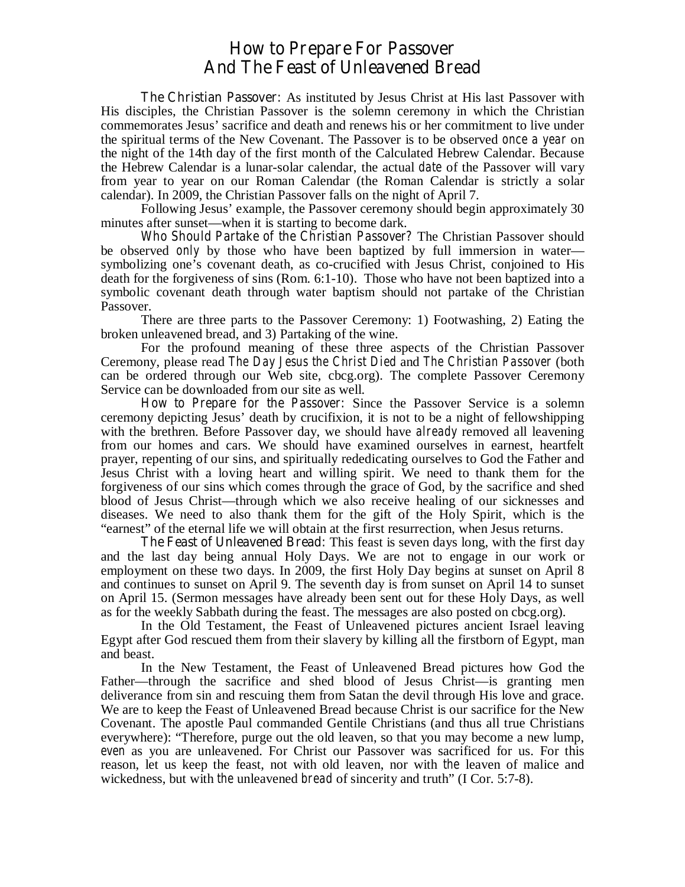## **How to Prepare For Passover And The Feast of Unleavened Bread**

**The Christian Passover:** As instituted by Jesus Christ at His last Passover with His disciples, the Christian Passover is the solemn ceremony in which the Christian commemorates Jesus' sacrifice and death and renews his or her commitment to live under the spiritual terms of the New Covenant. The Passover is to be observed *once a year* on the night of the 14th day of the first month of the Calculated Hebrew Calendar. Because the Hebrew Calendar is a lunar-solar calendar, the actual *date* of the Passover will vary from year to year on our Roman Calendar (the Roman Calendar is strictly a solar calendar). In 2009, the Christian Passover falls on the night of April 7.

 Following Jesus' example, the Passover ceremony should begin approximately 30 minutes after sunset—when it is starting to become dark.

*Who Should Partake of the Christian Passover?* The Christian Passover should be observed *only* by those who have been baptized by full immersion in water symbolizing one's covenant death, as co-crucified with Jesus Christ, conjoined to His death for the forgiveness of sins (Rom. 6:1-10). Those who have not been baptized into a symbolic covenant death through water baptism should not partake of the Christian Passover.

 There are three parts to the Passover Ceremony: 1) Footwashing, 2) Eating the broken unleavened bread, and 3) Partaking of the wine.

 For the profound meaning of these three aspects of the Christian Passover Ceremony, please read *The Day Jesus the Christ Died* and *The Christian Passover* (both can be ordered through our Web site, cbcg.org). The complete Passover Ceremony Service can be downloaded from our site as well.

*How to Prepare for the Passover***:** Since the Passover Service is a solemn ceremony depicting Jesus' death by crucifixion, it is not to be a night of fellowshipping with the brethren. Before Passover day, we should have *already* removed all leavening from our homes and cars. We should have examined ourselves in earnest, heartfelt prayer, repenting of our sins, and spiritually rededicating ourselves to God the Father and Jesus Christ with a loving heart and willing spirit. We need to thank them for the forgiveness of our sins which comes through the grace of God, by the sacrifice and shed blood of Jesus Christ—through which we also receive healing of our sicknesses and diseases. We need to also thank them for the gift of the Holy Spirit, which is the "earnest" of the eternal life we will obtain at the first resurrection, when Jesus returns.

**The Feast of Unleavened Bread:** This feast is seven days long, with the first day and the last day being annual Holy Days. We are not to engage in our work or employment on these two days. In 2009, the first Holy Day begins at sunset on April 8 and continues to sunset on April 9. The seventh day is from sunset on April 14 to sunset on April 15. (Sermon messages have already been sent out for these Holy Days, as well as for the weekly Sabbath during the feast. The messages are also posted on cbcg.org).

 In the Old Testament, the Feast of Unleavened pictures ancient Israel leaving Egypt after God rescued them from their slavery by killing all the firstborn of Egypt, man and beast.

 In the New Testament, the Feast of Unleavened Bread pictures how God the Father—through the sacrifice and shed blood of Jesus Christ—is granting men deliverance from sin and rescuing them from Satan the devil through His love and grace. We are to keep the Feast of Unleavened Bread because Christ is our sacrifice for the New Covenant. The apostle Paul commanded Gentile Christians (and thus all true Christians everywhere): "Therefore, purge out the old leaven, so that you may become a new lump, *even* as you are unleavened. For Christ our Passover was sacrificed for us. For this reason, let us keep the feast, not with old leaven, nor with *the* leaven of malice and wickedness, but with *the* unleavened *bread* of sincerity and truth" (I Cor. 5:7-8).